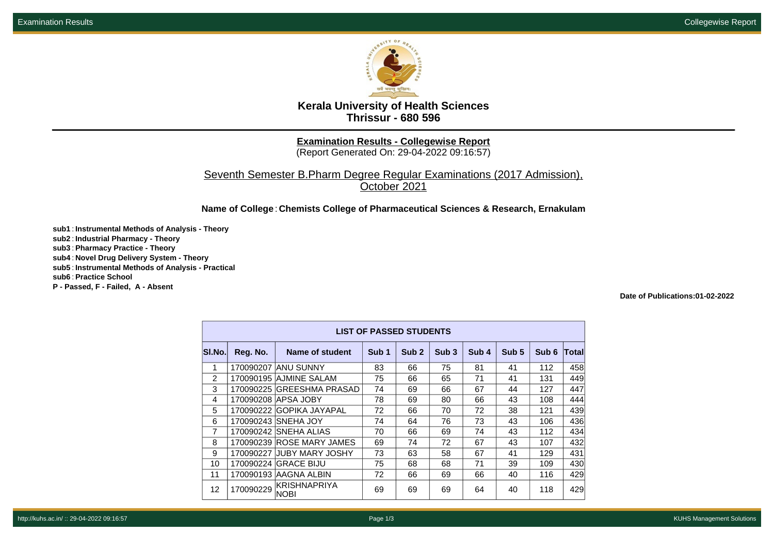

## **Kerala University of Health Sciences Thrissur - 680 596**

**Examination Results - Collegewise Report**

(Report Generated On: 29-04-2022 09:16:57)

Seventh Semester B.Pharm Degree Regular Examinations (2017 Admission), October 2021

**Name of College**: **Chemists College of Pharmaceutical Sciences & Research, Ernakulam**

**sub1** : **Instrumental Methods of Analysis - Theory sub2** : **Industrial Pharmacy - Theory sub3** : **Pharmacy Practice - Theory sub4** : **Novel Drug Delivery System - Theory sub5** : **Instrumental Methods of Analysis - Practical sub6** : **Practice School P - Passed, F - Failed, A - Absent**

**Date of Publications:01-02-2022**

| <b>LIST OF PASSED STUDENTS</b> |           |                             |                  |                  |                  |                  |       |       |       |  |
|--------------------------------|-----------|-----------------------------|------------------|------------------|------------------|------------------|-------|-------|-------|--|
| SI.No.                         | Reg. No.  | Name of student             | Sub <sub>1</sub> | Sub <sub>2</sub> | Sub <sub>3</sub> | Sub <sub>4</sub> | Sub 5 | Sub 6 | Total |  |
| 1                              |           | 170090207 ANU SUNNY         | 83               | 66               | 75               | 81               | 41    | 112   | 458   |  |
| 2                              |           | 170090195 AJMINE SALAM      | 75               | 66               | 65               | 71               | 41    | 131   | 449   |  |
| 3                              |           | 170090225 GREESHMA PRASAD   | 74               | 69               | 66               | 67               | 44    | 127   | 447   |  |
| 4                              |           | 170090208 APSA JOBY         | 78               | 69               | 80               | 66               | 43    | 108   | 444   |  |
| 5                              |           | 170090222 GOPIKA JAYAPAL    | 72               | 66               | 70               | 72               | 38    | 121   | 439   |  |
| 6                              |           | 170090243 SNEHA JOY         | 74               | 64               | 76               | 73               | 43    | 106   | 436   |  |
| $\overline{7}$                 |           | 170090242 SNEHA ALIAS       | 70               | 66               | 69               | 74               | 43    | 112   | 434   |  |
| 8                              |           | 170090239 ROSE MARY JAMES   | 69               | 74               | 72               | 67               | 43    | 107   | 432   |  |
| 9                              | 170090227 | <b>JUBY MARY JOSHY</b>      | 73               | 63               | 58               | 67               | 41    | 129   | 431   |  |
| 10                             |           | 170090224 GRACE BIJU        | 75               | 68               | 68               | 71               | 39    | 109   | 430   |  |
| 11                             |           | 170090193 AAGNA ALBIN       | 72               | 66               | 69               | 66               | 40    | 116   | 429   |  |
| 12                             | 170090229 | KRISHNAPRIYA<br><b>NOBI</b> | 69               | 69               | 69               | 64               | 40    | 118   | 429   |  |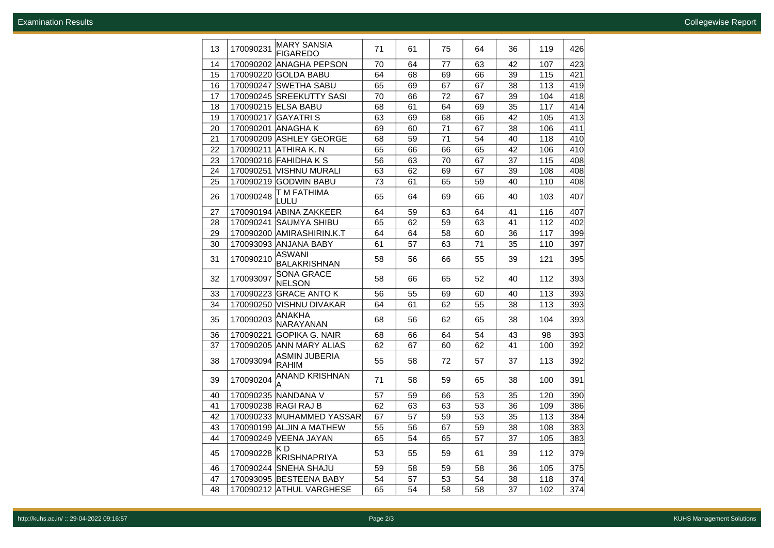| 13 | 170090231 | MARY SANSIA<br><b>FIGAREDO</b>    | 71 | 61 | 75 | 64 | 36 | 119 | 426 |
|----|-----------|-----------------------------------|----|----|----|----|----|-----|-----|
| 14 |           | 170090202 ANAGHA PEPSON           | 70 | 64 | 77 | 63 | 42 | 107 | 423 |
| 15 |           | 170090220 GOLDA BABU              | 64 | 68 | 69 | 66 | 39 | 115 | 421 |
| 16 |           | 170090247 SWETHA SABU             | 65 | 69 | 67 | 67 | 38 | 113 | 419 |
| 17 |           | 170090245 SREEKUTTY SASI          | 70 | 66 | 72 | 67 | 39 | 104 | 418 |
| 18 |           | 170090215 ELSA BABU               | 68 | 61 | 64 | 69 | 35 | 117 | 414 |
| 19 |           | 170090217 GAYATRI S               | 63 | 69 | 68 | 66 | 42 | 105 | 413 |
| 20 |           | 170090201 ANAGHA K                | 69 | 60 | 71 | 67 | 38 | 106 | 411 |
| 21 |           | 170090209 ASHLEY GEORGE           | 68 | 59 | 71 | 54 | 40 | 118 | 410 |
| 22 |           | 170090211 ATHIRA K. N             | 65 | 66 | 66 | 65 | 42 | 106 | 410 |
| 23 |           | 170090216 FAHIDHA K S             | 56 | 63 | 70 | 67 | 37 | 115 | 408 |
| 24 |           | 170090251 VISHNU MURALI           | 63 | 62 | 69 | 67 | 39 | 108 | 408 |
| 25 |           | 170090219 GODWIN BABU             | 73 | 61 | 65 | 59 | 40 | 110 | 408 |
| 26 | 170090248 | T M FATHIMA<br>LULU               | 65 | 64 | 69 | 66 | 40 | 103 | 407 |
| 27 |           | 170090194 ABINA ZAKKEER           | 64 | 59 | 63 | 64 | 41 | 116 | 407 |
| 28 |           | 170090241 SAUMYA SHIBU            | 65 | 62 | 59 | 63 | 41 | 112 | 402 |
| 29 |           | 170090200 AMIRASHIRIN.K.T         | 64 | 64 | 58 | 60 | 36 | 117 | 399 |
| 30 |           | 170093093 ANJANA BABY             | 61 | 57 | 63 | 71 | 35 | 110 | 397 |
| 31 | 170090210 | <b>ASWANI</b><br>BALAKRISHNAN     | 58 | 56 | 66 | 55 | 39 | 121 | 395 |
| 32 | 170093097 | <b>SONA GRACE</b><br>NELSON       | 58 | 66 | 65 | 52 | 40 | 112 | 393 |
| 33 |           | 170090223 GRACE ANTO K            | 56 | 55 | 69 | 60 | 40 | 113 | 393 |
| 34 |           | 170090250 VISHNU DIVAKAR          | 64 | 61 | 62 | 55 | 38 | 113 | 393 |
| 35 | 170090203 | <b>ANAKHA</b><br><b>NARAYANAN</b> | 68 | 56 | 62 | 65 | 38 | 104 | 393 |
| 36 |           | 170090221 GOPIKA G. NAIR          | 68 | 66 | 64 | 54 | 43 | 98  | 393 |
| 37 |           | 170090205 ANN MARY ALIAS          | 62 | 67 | 60 | 62 | 41 | 100 | 392 |
| 38 | 170093094 | ASMIN JUBERIA<br>RAHIM            | 55 | 58 | 72 | 57 | 37 | 113 | 392 |
| 39 | 170090204 | ANAND KRISHNAN<br>А               | 71 | 58 | 59 | 65 | 38 | 100 | 391 |
| 40 |           | 170090235 NANDANA V               | 57 | 59 | 66 | 53 | 35 | 120 | 390 |
| 41 |           | 170090238 RAGI RAJ B              | 62 | 63 | 63 | 53 | 36 | 109 | 386 |
| 42 |           | 170090233 MUHAMMED YASSAR         | 67 | 57 | 59 | 53 | 35 | 113 | 384 |
| 43 |           | 170090199 ALJIN A MATHEW          | 55 | 56 | 67 | 59 | 38 | 108 | 383 |
| 44 |           | 170090249 VEENA JAYAN             | 65 | 54 | 65 | 57 | 37 | 105 | 383 |
| 45 | 170090228 | ΚD<br>KRISHNAPRIYA                | 53 | 55 | 59 | 61 | 39 | 112 | 379 |
| 46 |           | 170090244 SNEHA SHAJU             | 59 | 58 | 59 | 58 | 36 | 105 | 375 |
| 47 |           | 170093095 BESTEENA BABY           | 54 | 57 | 53 | 54 | 38 | 118 | 374 |
| 48 |           | 170090212 ATHUL VARGHESE          | 65 | 54 | 58 | 58 | 37 | 102 | 374 |